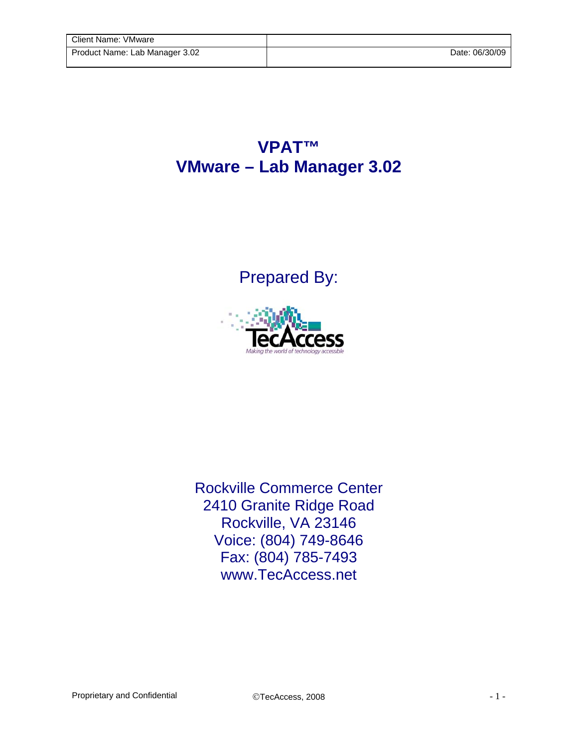## **VPAT™ VMware – Lab Manager 3.02**

Prepared By:



Rockville Commerce Center 2410 Granite Ridge Road Rockville, VA 23146 Voice: (804) 749-8646 Fax: (804) 785-7493 www.TecAccess.net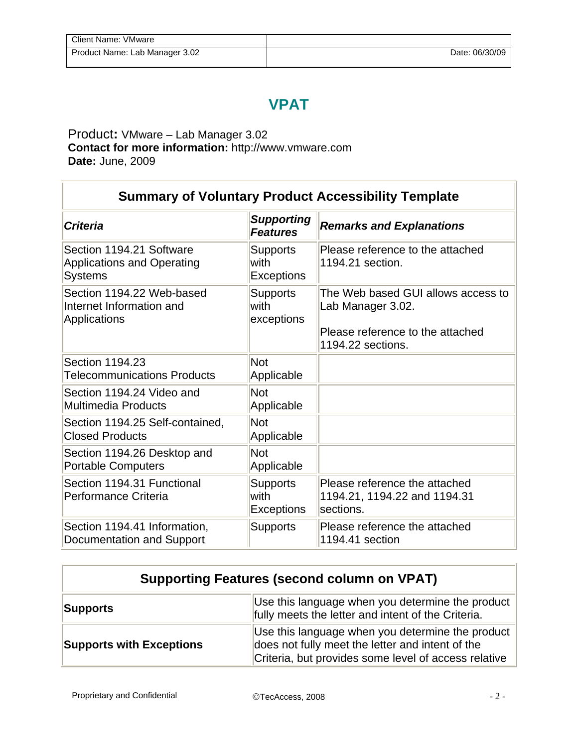## **VPAT**

Product**:** VMware – Lab Manager 3.02 **Contact for more information:** http://www.vmware.com **Date:** June, 2009

| <b>Summary of Voluntary Product Accessibility Template</b>                      |                                              |                                                                                                                  |  |
|---------------------------------------------------------------------------------|----------------------------------------------|------------------------------------------------------------------------------------------------------------------|--|
| <b>Criteria</b>                                                                 | <b>Supporting</b><br><b>Features</b>         | <b>Remarks and Explanations</b>                                                                                  |  |
| Section 1194.21 Software<br><b>Applications and Operating</b><br><b>Systems</b> | <b>Supports</b><br>with<br><b>Exceptions</b> | Please reference to the attached<br>1194.21 section.                                                             |  |
| Section 1194.22 Web-based<br>Internet Information and<br><b>Applications</b>    | <b>Supports</b><br>with<br>exceptions        | The Web based GUI allows access to<br>Lab Manager 3.02.<br>Please reference to the attached<br>1194.22 sections. |  |
| Section 1194.23<br><b>Telecommunications Products</b>                           | <b>Not</b><br>Applicable                     |                                                                                                                  |  |
| Section 1194.24 Video and<br>Multimedia Products                                | <b>Not</b><br>Applicable                     |                                                                                                                  |  |
| Section 1194.25 Self-contained,<br><b>Closed Products</b>                       | <b>Not</b><br>Applicable                     |                                                                                                                  |  |
| Section 1194.26 Desktop and<br><b>Portable Computers</b>                        | <b>Not</b><br>Applicable                     |                                                                                                                  |  |
| Section 1194.31 Functional<br>Performance Criteria                              | <b>Supports</b><br>with<br><b>Exceptions</b> | Please reference the attached<br>1194.21, 1194.22 and 1194.31<br>sections.                                       |  |
| Section 1194.41 Information,<br>Documentation and Support                       | <b>Supports</b>                              | Please reference the attached<br>1194.41 section                                                                 |  |

| <b>Supporting Features (second column on VPAT)</b>                                                                 |                                                                                                                                                              |  |
|--------------------------------------------------------------------------------------------------------------------|--------------------------------------------------------------------------------------------------------------------------------------------------------------|--|
| Use this language when you determine the product<br>Supports<br>fully meets the letter and intent of the Criteria. |                                                                                                                                                              |  |
| <b>Supports with Exceptions</b>                                                                                    | Use this language when you determine the product<br>does not fully meet the letter and intent of the<br>Criteria, but provides some level of access relative |  |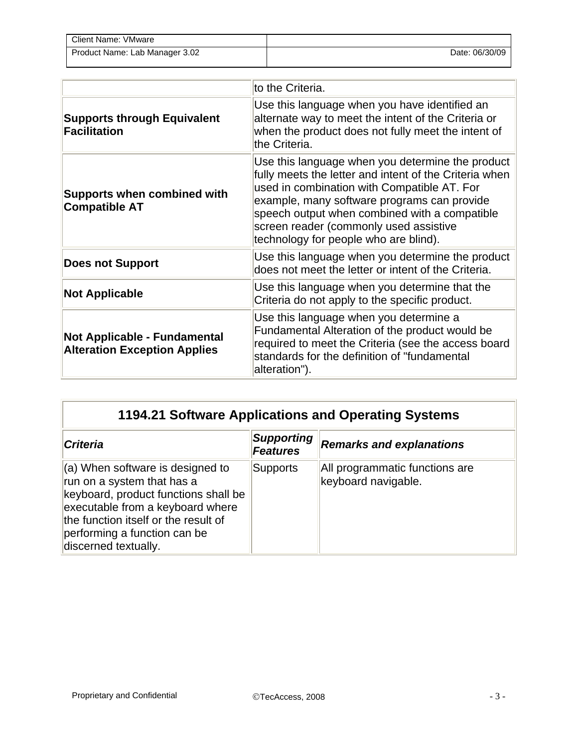| <b>Client Name: VMware</b>     |                |
|--------------------------------|----------------|
| Product Name: Lab Manager 3.02 | Date: 06/30/09 |

|                                                                            | to the Criteria.                                                                                                                                                                                                                                                                                                                             |
|----------------------------------------------------------------------------|----------------------------------------------------------------------------------------------------------------------------------------------------------------------------------------------------------------------------------------------------------------------------------------------------------------------------------------------|
| <b>Supports through Equivalent</b><br><b>Facilitation</b>                  | Use this language when you have identified an<br>alternate way to meet the intent of the Criteria or<br>when the product does not fully meet the intent of<br>the Criteria.                                                                                                                                                                  |
| <b>Supports when combined with</b><br><b>Compatible AT</b>                 | Use this language when you determine the product<br>fully meets the letter and intent of the Criteria when<br>used in combination with Compatible AT. For<br>example, many software programs can provide<br>speech output when combined with a compatible<br>screen reader (commonly used assistive<br>technology for people who are blind). |
| <b>Does not Support</b>                                                    | Use this language when you determine the product<br>does not meet the letter or intent of the Criteria.                                                                                                                                                                                                                                      |
| <b>Not Applicable</b>                                                      | Use this language when you determine that the<br>Criteria do not apply to the specific product.                                                                                                                                                                                                                                              |
| <b>Not Applicable - Fundamental</b><br><b>Alteration Exception Applies</b> | Use this language when you determine a<br>Fundamental Alteration of the product would be<br>required to meet the Criteria (see the access board<br>standards for the definition of "fundamental<br>alteration").                                                                                                                             |

| 1194.21 Software Applications and Operating Systems                                                                                                                                                                                        |                                      |                                                       |
|--------------------------------------------------------------------------------------------------------------------------------------------------------------------------------------------------------------------------------------------|--------------------------------------|-------------------------------------------------------|
| <b>Criteria</b>                                                                                                                                                                                                                            | <b>Supporting</b><br><b>Features</b> | <b>Remarks and explanations</b>                       |
| (a) When software is designed to<br>run on a system that has a<br>keyboard, product functions shall be<br>executable from a keyboard where<br>the function itself or the result of<br>performing a function can be<br>discerned textually. | Supports                             | All programmatic functions are<br>keyboard navigable. |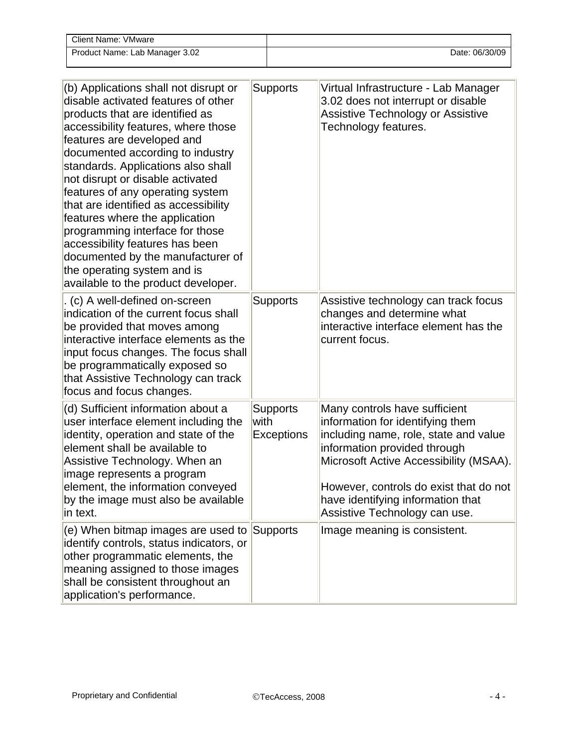| Client Name: VMware            |                |
|--------------------------------|----------------|
| Product Name: Lab Manager 3.02 | Date: 06/30/09 |

| (b) Applications shall not disrupt or<br>disable activated features of other<br>products that are identified as<br>accessibility features, where those<br>features are developed and<br>documented according to industry<br>standards. Applications also shall<br>not disrupt or disable activated<br>features of any operating system<br>that are identified as accessibility<br>features where the application<br>programming interface for those<br>accessibility features has been<br>documented by the manufacturer of<br>the operating system and is<br>available to the product developer. | <b>Supports</b>                              | Virtual Infrastructure - Lab Manager<br>3.02 does not interrupt or disable<br>Assistive Technology or Assistive<br>Technology features.                                                                                                                                                              |
|---------------------------------------------------------------------------------------------------------------------------------------------------------------------------------------------------------------------------------------------------------------------------------------------------------------------------------------------------------------------------------------------------------------------------------------------------------------------------------------------------------------------------------------------------------------------------------------------------|----------------------------------------------|------------------------------------------------------------------------------------------------------------------------------------------------------------------------------------------------------------------------------------------------------------------------------------------------------|
| . (c) A well-defined on-screen<br>indication of the current focus shall<br>be provided that moves among<br>interactive interface elements as the<br>input focus changes. The focus shall<br>be programmatically exposed so<br>that Assistive Technology can track<br>focus and focus changes.                                                                                                                                                                                                                                                                                                     | <b>Supports</b>                              | Assistive technology can track focus<br>changes and determine what<br>interactive interface element has the<br>current focus.                                                                                                                                                                        |
| (d) Sufficient information about a<br>user interface element including the<br>identity, operation and state of the<br>element shall be available to<br>Assistive Technology. When an<br>image represents a program<br>element, the information conveyed<br>by the image must also be available<br>in text.                                                                                                                                                                                                                                                                                        | <b>Supports</b><br>with<br><b>Exceptions</b> | Many controls have sufficient<br>information for identifying them<br>including name, role, state and value<br>information provided through<br>Microsoft Active Accessibility (MSAA).<br>However, controls do exist that do not<br>have identifying information that<br>Assistive Technology can use. |
| (e) When bitmap images are used to Supports<br>identify controls, status indicators, or<br>other programmatic elements, the<br>meaning assigned to those images<br>shall be consistent throughout an<br>application's performance.                                                                                                                                                                                                                                                                                                                                                                |                                              | Image meaning is consistent.                                                                                                                                                                                                                                                                         |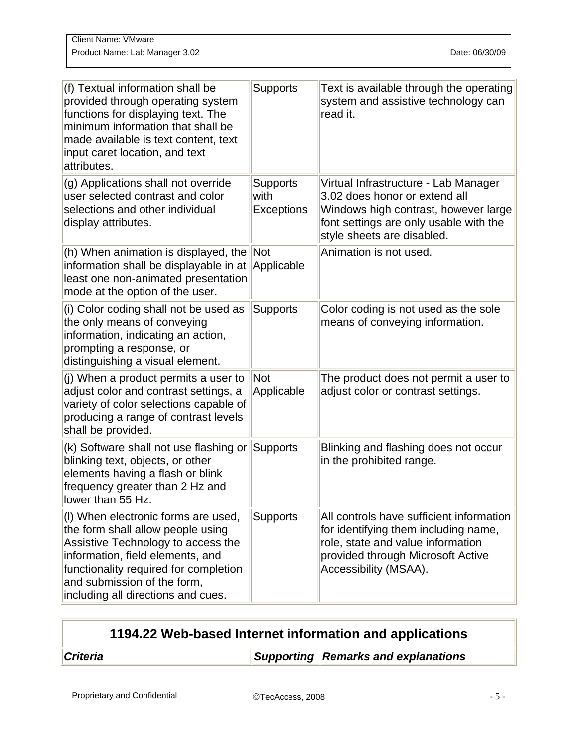| <b>Client Name: VMware</b>     |                |
|--------------------------------|----------------|
| Product Name: Lab Manager 3.02 | Date: 06/30/09 |

| (f) Textual information shall be<br>provided through operating system<br>functions for displaying text. The<br>minimum information that shall be<br>made available is text content, text<br>input caret location, and text<br>attributes.                        | <b>Supports</b>                       | Text is available through the operating<br>system and assistive technology can<br>read it.                                                                                            |
|------------------------------------------------------------------------------------------------------------------------------------------------------------------------------------------------------------------------------------------------------------------|---------------------------------------|---------------------------------------------------------------------------------------------------------------------------------------------------------------------------------------|
| (g) Applications shall not override<br>user selected contrast and color<br>selections and other individual<br>display attributes.                                                                                                                                | Supports<br>with<br><b>Exceptions</b> | Virtual Infrastructure - Lab Manager<br>3.02 does honor or extend all<br>Windows high contrast, however large<br>font settings are only usable with the<br>style sheets are disabled. |
| (h) When animation is displayed, the Not<br>information shall be displayable in at<br>least one non-animated presentation<br>mode at the option of the user.                                                                                                     | Applicable                            | Animation is not used.                                                                                                                                                                |
| (i) Color coding shall not be used as<br>the only means of conveying<br>information, indicating an action,<br>prompting a response, or<br>distinguishing a visual element.                                                                                       | <b>Supports</b>                       | Color coding is not used as the sole<br>means of conveying information.                                                                                                               |
| (j) When a product permits a user to<br>adjust color and contrast settings, a<br>variety of color selections capable of<br>producing a range of contrast levels<br>shall be provided.                                                                            | Not<br>Applicable                     | The product does not permit a user to<br>adjust color or contrast settings.                                                                                                           |
| (k) Software shall not use flashing or<br>blinking text, objects, or other<br>elements having a flash or blink<br>frequency greater than 2 Hz and<br>lower than 55 Hz.                                                                                           | Supports                              | Blinking and flashing does not occur<br>in the prohibited range.                                                                                                                      |
| (I) When electronic forms are used,<br>the form shall allow people using<br>Assistive Technology to access the<br>information, field elements, and<br>functionality required for completion<br>and submission of the form,<br>including all directions and cues. | <b>Supports</b>                       | All controls have sufficient information<br>for identifying them including name,<br>role, state and value information<br>provided through Microsoft Active<br>Accessibility (MSAA).   |

| 1194.22 Web-based Internet information and applications |
|---------------------------------------------------------|
|---------------------------------------------------------|

**Criteria Criteria** Supporting **Remarks and explanations**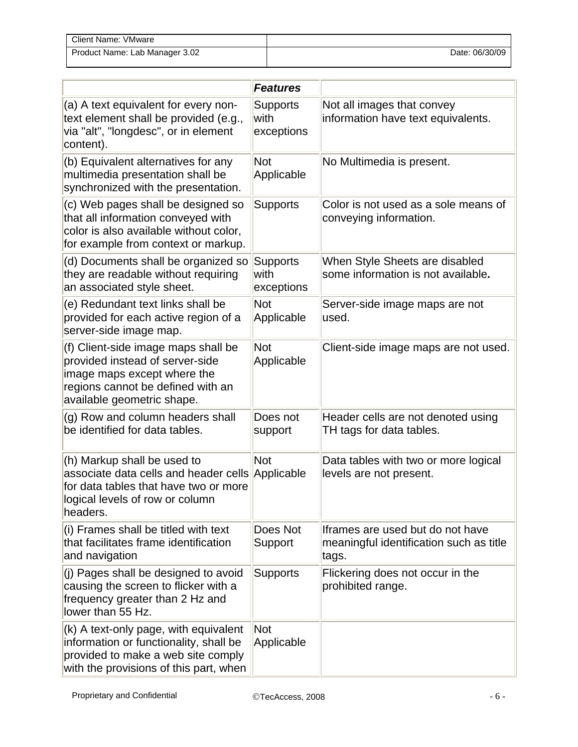| Client Name: VMware            |                |
|--------------------------------|----------------|
| Product Name: Lab Manager 3.02 | Date: 06/30/09 |

|                                                                                                                                                                          | <b>Features</b>                       |                                                                                       |
|--------------------------------------------------------------------------------------------------------------------------------------------------------------------------|---------------------------------------|---------------------------------------------------------------------------------------|
| (a) A text equivalent for every non-<br>text element shall be provided (e.g.,<br>via "alt", "longdesc", or in element<br>content).                                       | <b>Supports</b><br>with<br>exceptions | Not all images that convey<br>information have text equivalents.                      |
| (b) Equivalent alternatives for any<br>multimedia presentation shall be<br>synchronized with the presentation.                                                           | <b>Not</b><br>Applicable              | No Multimedia is present.                                                             |
| (c) Web pages shall be designed so<br>that all information conveyed with<br>color is also available without color,<br>for example from context or markup.                | <b>Supports</b>                       | Color is not used as a sole means of<br>conveying information.                        |
| (d) Documents shall be organized so<br>they are readable without requiring<br>an associated style sheet.                                                                 | Supports<br>with<br>exceptions        | When Style Sheets are disabled<br>some information is not available.                  |
| (e) Redundant text links shall be<br>provided for each active region of a<br>server-side image map.                                                                      | <b>Not</b><br>Applicable              | Server-side image maps are not<br>used.                                               |
| (f) Client-side image maps shall be<br>provided instead of server-side<br>image maps except where the<br>regions cannot be defined with an<br>available geometric shape. | <b>Not</b><br>Applicable              | Client-side image maps are not used.                                                  |
| (g) Row and column headers shall<br>be identified for data tables.                                                                                                       | Does not<br>support                   | Header cells are not denoted using<br>TH tags for data tables.                        |
| (h) Markup shall be used to<br>associate data cells and header cells Applicable<br>for data tables that have two or more<br>logical levels of row or column<br>headers.  | <b>Not</b>                            | Data tables with two or more logical<br>levels are not present.                       |
| (i) Frames shall be titled with text<br>that facilitates frame identification<br>and navigation                                                                          | Does Not<br>Support                   | Iframes are used but do not have<br>meaningful identification such as title<br>∣tags. |
| (j) Pages shall be designed to avoid<br>causing the screen to flicker with a<br>frequency greater than 2 Hz and<br>lower than 55 Hz.                                     | <b>Supports</b>                       | Flickering does not occur in the<br>prohibited range.                                 |
| (k) A text-only page, with equivalent<br>information or functionality, shall be<br>provided to make a web site comply<br>with the provisions of this part, when          | Not<br>Applicable                     |                                                                                       |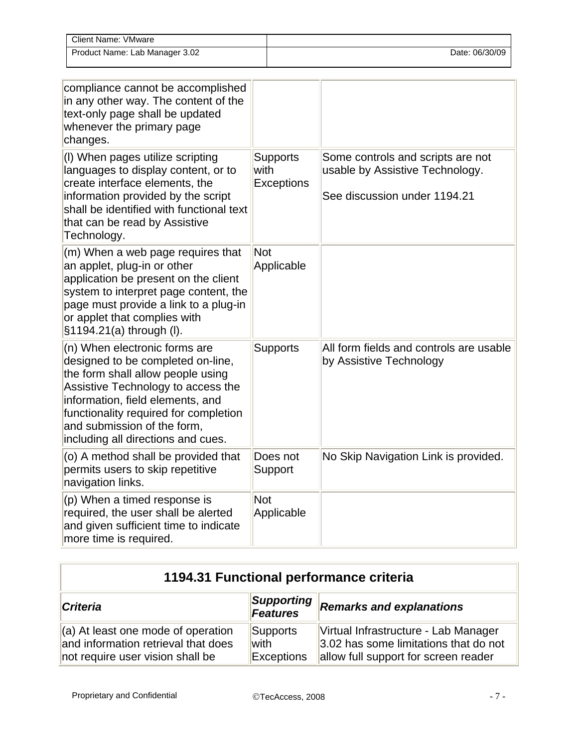| Client Name: VMware            |                |
|--------------------------------|----------------|
| Product Name: Lab Manager 3.02 | Date: 06/30/09 |

| compliance cannot be accomplished<br>in any other way. The content of the<br>text-only page shall be updated<br>whenever the primary page<br>changes.                                                                                                                                           |                                       |                                                                                                      |
|-------------------------------------------------------------------------------------------------------------------------------------------------------------------------------------------------------------------------------------------------------------------------------------------------|---------------------------------------|------------------------------------------------------------------------------------------------------|
| (I) When pages utilize scripting<br>languages to display content, or to<br>create interface elements, the<br>information provided by the script<br>shall be identified with functional text<br>that can be read by Assistive<br>Technology.                                                     | <b>Supports</b><br>with<br>Exceptions | Some controls and scripts are not<br>usable by Assistive Technology.<br>See discussion under 1194.21 |
| (m) When a web page requires that<br>an applet, plug-in or other<br>application be present on the client<br>system to interpret page content, the<br>page must provide a link to a plug-in<br>or applet that complies with<br>§1194.21(a) through (I).                                          | <b>Not</b><br>Applicable              |                                                                                                      |
| (n) When electronic forms are<br>designed to be completed on-line,<br>the form shall allow people using<br>Assistive Technology to access the<br>information, field elements, and<br>functionality required for completion<br>and submission of the form,<br>including all directions and cues. | <b>Supports</b>                       | All form fields and controls are usable<br>by Assistive Technology                                   |
| (o) A method shall be provided that<br>permits users to skip repetitive<br>navigation links.                                                                                                                                                                                                    | Does not<br>Support                   | No Skip Navigation Link is provided.                                                                 |
| (p) When a timed response is<br>required, the user shall be alerted<br>and given sufficient time to indicate<br>more time is required.                                                                                                                                                          | <b>Not</b><br>Applicable              |                                                                                                      |

| 1194.31 Functional performance criteria                                                                         |                                              |                                                                                                                       |
|-----------------------------------------------------------------------------------------------------------------|----------------------------------------------|-----------------------------------------------------------------------------------------------------------------------|
| <b>Criteria</b>                                                                                                 | <b>Supporting</b><br><b>Features</b>         | <b>Remarks and explanations</b>                                                                                       |
| $(a)$ At least one mode of operation<br>and information retrieval that does<br>not require user vision shall be | <b>Supports</b><br>with<br><b>Exceptions</b> | Virtual Infrastructure - Lab Manager<br>3.02 has some limitations that do not<br>allow full support for screen reader |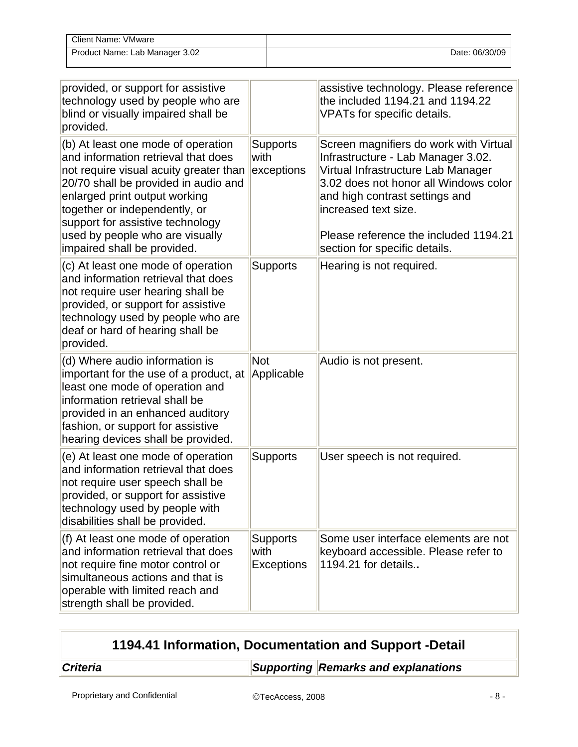| Client Name: VMware            |                |
|--------------------------------|----------------|
| Product Name: Lab Manager 3.02 | Date: 06/30/09 |

| provided, or support for assistive<br>technology used by people who are<br>blind or visually impaired shall be<br>provided.                                                                                                                                                                                                         |                                              | assistive technology. Please reference<br>the included 1194.21 and 1194.22<br>VPATs for specific details.                                                                                                                                                                                       |
|-------------------------------------------------------------------------------------------------------------------------------------------------------------------------------------------------------------------------------------------------------------------------------------------------------------------------------------|----------------------------------------------|-------------------------------------------------------------------------------------------------------------------------------------------------------------------------------------------------------------------------------------------------------------------------------------------------|
| (b) At least one mode of operation<br>and information retrieval that does<br>not require visual acuity greater than<br>20/70 shall be provided in audio and<br>enlarged print output working<br>together or independently, or<br>support for assistive technology<br>used by people who are visually<br>impaired shall be provided. | <b>Supports</b><br>with<br>exceptions        | Screen magnifiers do work with Virtual<br>Infrastructure - Lab Manager 3.02.<br>Virtual Infrastructure Lab Manager<br>3.02 does not honor all Windows color<br>and high contrast settings and<br>increased text size.<br>Please reference the included 1194.21<br>section for specific details. |
| (c) At least one mode of operation<br>and information retrieval that does<br>not require user hearing shall be<br>provided, or support for assistive<br>technology used by people who are<br>deaf or hard of hearing shall be<br>provided.                                                                                          | <b>Supports</b>                              | Hearing is not required.                                                                                                                                                                                                                                                                        |
| (d) Where audio information is<br>important for the use of a product, at<br>least one mode of operation and<br>information retrieval shall be<br>provided in an enhanced auditory<br>fashion, or support for assistive<br>hearing devices shall be provided.                                                                        | <b>Not</b><br>Applicable                     | Audio is not present.                                                                                                                                                                                                                                                                           |
| (e) At least one mode of operation<br>and information retrieval that does<br>not require user speech shall be<br>provided, or support for assistive<br>technology used by people with<br>disabilities shall be provided.                                                                                                            | <b>Supports</b>                              | User speech is not required.                                                                                                                                                                                                                                                                    |
| (f) At least one mode of operation<br>and information retrieval that does<br>not require fine motor control or<br>simultaneous actions and that is<br>operable with limited reach and<br>strength shall be provided.                                                                                                                | <b>Supports</b><br>with<br><b>Exceptions</b> | Some user interface elements are not<br>keyboard accessible. Please refer to<br>1194.21 for details                                                                                                                                                                                             |

| 1194.41 Information, Documentation and Support -Detail |  |                                     |
|--------------------------------------------------------|--|-------------------------------------|
| <b>Criteria</b>                                        |  | Supporting Remarks and explanations |
|                                                        |  |                                     |